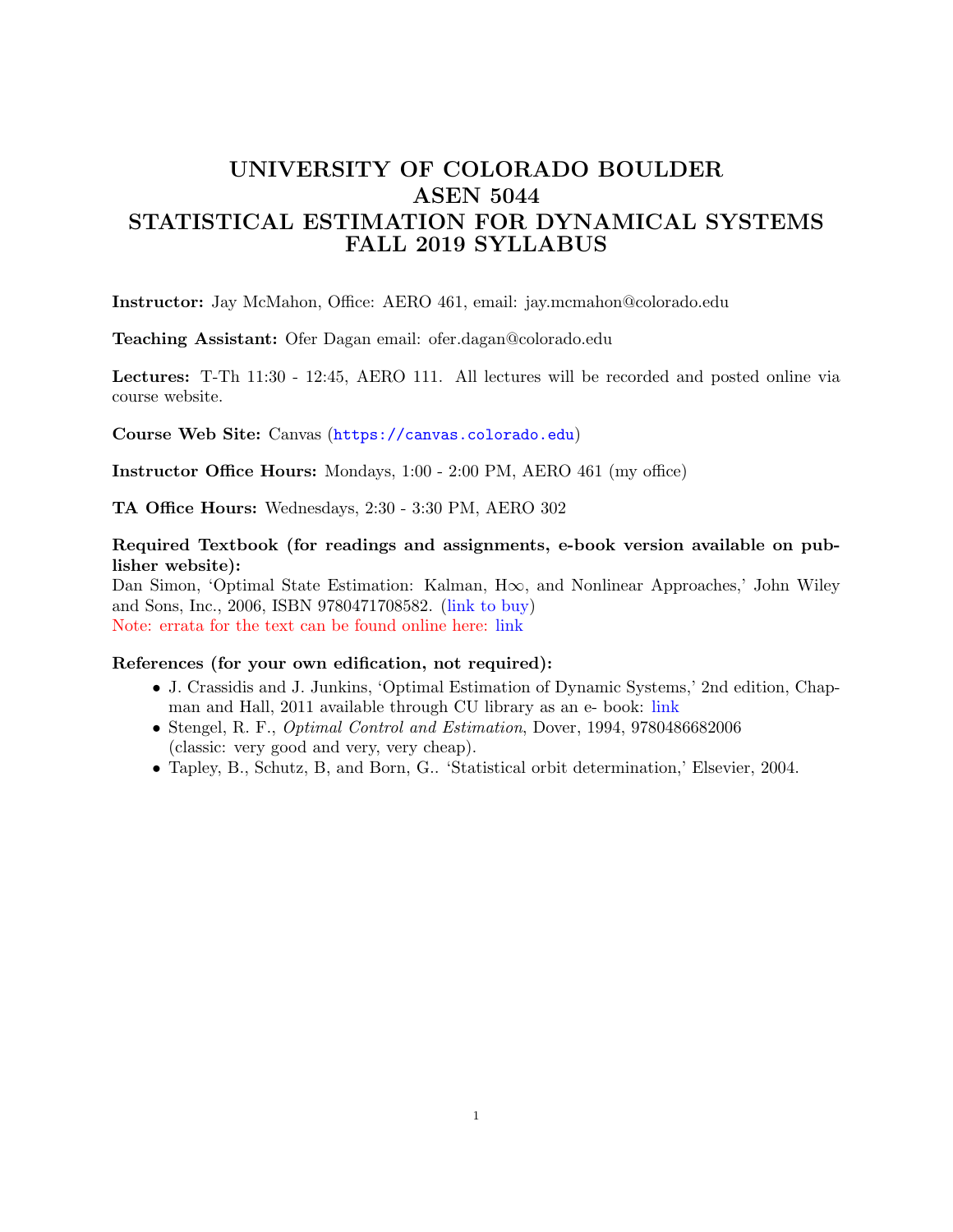# UNIVERSITY OF COLORADO BOULDER ASEN 5044 STATISTICAL ESTIMATION FOR DYNAMICAL SYSTEMS FALL 2019 SYLLABUS

Instructor: Jay McMahon, Office: AERO 461, email: jay.mcmahon@colorado.edu

Teaching Assistant: Ofer Dagan email: ofer.dagan@colorado.edu

Lectures: T-Th 11:30 - 12:45, AERO 111. All lectures will be recorded and posted online via course website.

Course Web Site: Canvas (<https://canvas.colorado.edu>)

Instructor Office Hours: Mondays, 1:00 - 2:00 PM, AERO 461 (my office)

TA Office Hours: Wednesdays, 2:30 - 3:30 PM, AERO 302

Required Textbook (for readings and assignments, e-book version available on publisher website):

Dan Simon, 'Optimal State Estimation: Kalman, H∞, and Nonlinear Approaches,' John Wiley and Sons, Inc., 2006, ISBN 9780471708582. [\(link to buy\)](https://www.wiley.com/WileyCDA/Section/id-831494.html) Note: errata for the text can be found online here: [link](http://academic.csuohio.edu/simond/estimation/errata.pdf)

### References (for your own edification, not required):

- J. Crassidis and J. Junkins, 'Optimal Estimation of Dynamic Systems,' 2nd edition, Chapman and Hall, 2011 available through CU library as an e- book: [link](J. Crassidis and J. Junkins, `Optimal Estimation of Dynamic Systems,)
- Stengel, R. F., Optimal Control and Estimation, Dover, 1994, 9780486682006 (classic: very good and very, very cheap).
- Tapley, B., Schutz, B, and Born, G.. 'Statistical orbit determination,' Elsevier, 2004.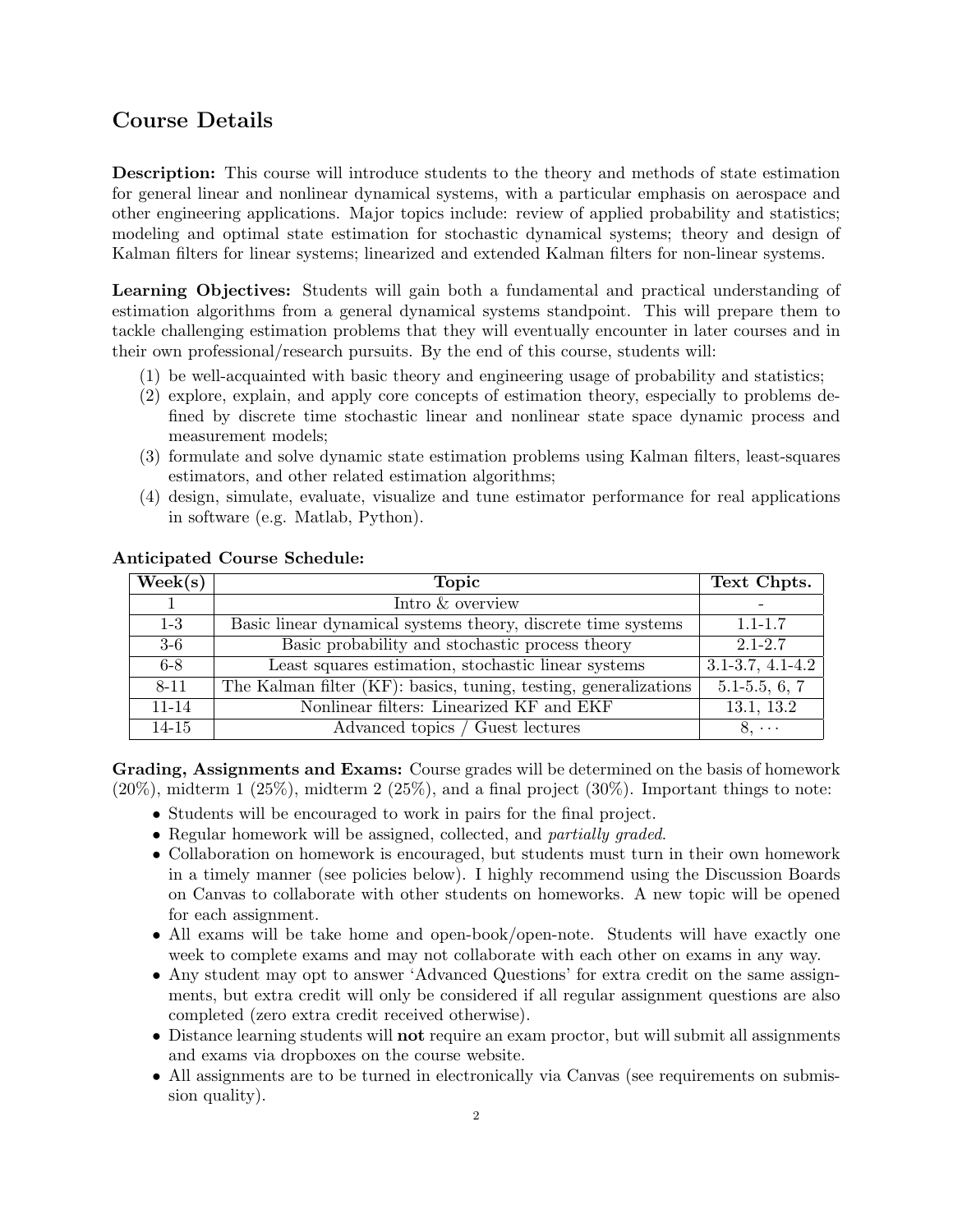## Course Details

Description: This course will introduce students to the theory and methods of state estimation for general linear and nonlinear dynamical systems, with a particular emphasis on aerospace and other engineering applications. Major topics include: review of applied probability and statistics; modeling and optimal state estimation for stochastic dynamical systems; theory and design of Kalman filters for linear systems; linearized and extended Kalman filters for non-linear systems.

Learning Objectives: Students will gain both a fundamental and practical understanding of estimation algorithms from a general dynamical systems standpoint. This will prepare them to tackle challenging estimation problems that they will eventually encounter in later courses and in their own professional/research pursuits. By the end of this course, students will:

- (1) be well-acquainted with basic theory and engineering usage of probability and statistics;
- (2) explore, explain, and apply core concepts of estimation theory, especially to problems defined by discrete time stochastic linear and nonlinear state space dynamic process and measurement models;
- (3) formulate and solve dynamic state estimation problems using Kalman filters, least-squares estimators, and other related estimation algorithms;
- (4) design, simulate, evaluate, visualize and tune estimator performance for real applications in software (e.g. Matlab, Python).

| $\text{Week}(s)$ | <b>Topic</b>                                                     | Text Chpts.            |
|------------------|------------------------------------------------------------------|------------------------|
|                  | Intro & overview                                                 |                        |
| $1-3$            | Basic linear dynamical systems theory, discrete time systems     | $1.1 - 1.7$            |
| $3-6$            | Basic probability and stochastic process theory                  | $2.1 - 2.7$            |
| $6 - 8$          | Least squares estimation, stochastic linear systems              | $3.1 - 3.7, 4.1 - 4.2$ |
| 8-11             | The Kalman filter (KF): basics, tuning, testing, generalizations | $5.1 - 5.5, 6, 7$      |
| $11 - 14$        | Nonlinear filters: Linearized KF and EKF                         | 13.1, 13.2             |
| $14 - 15$        | Advanced topics / Guest lectures                                 | $8, \cdots$            |

#### Anticipated Course Schedule:

Grading, Assignments and Exams: Course grades will be determined on the basis of homework  $(20\%)$ , midterm 1  $(25\%)$ , midterm 2  $(25\%)$ , and a final project  $(30\%)$ . Important things to note:

- Students will be encouraged to work in pairs for the final project.
- Regular homework will be assigned, collected, and *partially graded*.
- Collaboration on homework is encouraged, but students must turn in their own homework in a timely manner (see policies below). I highly recommend using the Discussion Boards on Canvas to collaborate with other students on homeworks. A new topic will be opened for each assignment.
- All exams will be take home and open-book/open-note. Students will have exactly one week to complete exams and may not collaborate with each other on exams in any way.
- Any student may opt to answer 'Advanced Questions' for extra credit on the same assignments, but extra credit will only be considered if all regular assignment questions are also completed (zero extra credit received otherwise).
- Distance learning students will **not** require an exam proctor, but will submit all assignments and exams via dropboxes on the course website.
- All assignments are to be turned in electronically via Canvas (see requirements on submission quality).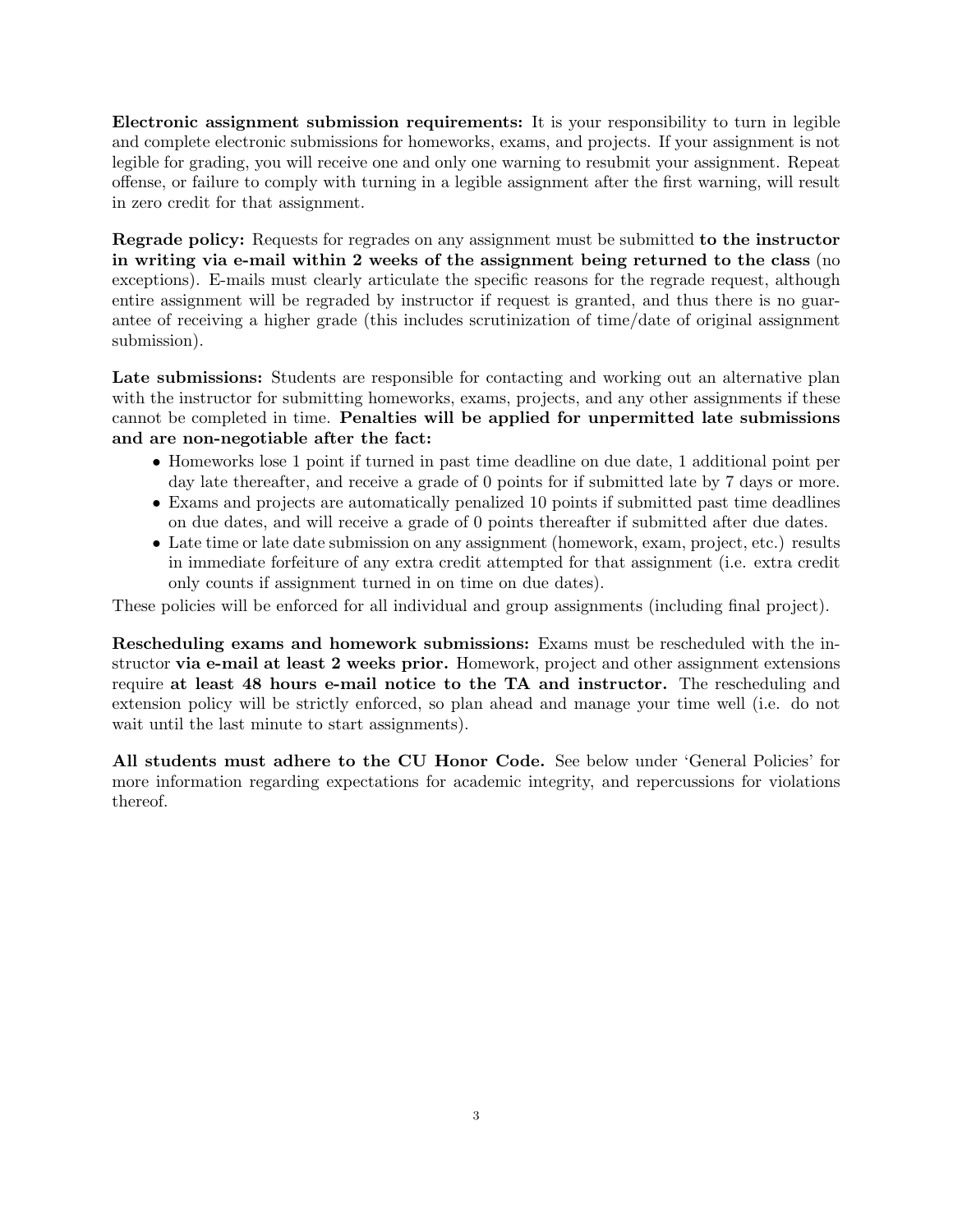Electronic assignment submission requirements: It is your responsibility to turn in legible and complete electronic submissions for homeworks, exams, and projects. If your assignment is not legible for grading, you will receive one and only one warning to resubmit your assignment. Repeat offense, or failure to comply with turning in a legible assignment after the first warning, will result in zero credit for that assignment.

Regrade policy: Requests for regrades on any assignment must be submitted to the instructor in writing via e-mail within 2 weeks of the assignment being returned to the class (no exceptions). E-mails must clearly articulate the specific reasons for the regrade request, although entire assignment will be regraded by instructor if request is granted, and thus there is no guarantee of receiving a higher grade (this includes scrutinization of time/date of original assignment submission).

Late submissions: Students are responsible for contacting and working out an alternative plan with the instructor for submitting homeworks, exams, projects, and any other assignments if these cannot be completed in time. Penalties will be applied for unpermitted late submissions and are non-negotiable after the fact:

- Homeworks lose 1 point if turned in past time deadline on due date, 1 additional point per day late thereafter, and receive a grade of 0 points for if submitted late by 7 days or more.
- Exams and projects are automatically penalized 10 points if submitted past time deadlines on due dates, and will receive a grade of 0 points thereafter if submitted after due dates.
- Late time or late date submission on any assignment (homework, exam, project, etc.) results in immediate forfeiture of any extra credit attempted for that assignment (i.e. extra credit only counts if assignment turned in on time on due dates).

These policies will be enforced for all individual and group assignments (including final project).

Rescheduling exams and homework submissions: Exams must be rescheduled with the instructor via e-mail at least 2 weeks prior. Homework, project and other assignment extensions require at least 48 hours e-mail notice to the TA and instructor. The rescheduling and extension policy will be strictly enforced, so plan ahead and manage your time well (i.e. do not wait until the last minute to start assignments).

All students must adhere to the CU Honor Code. See below under 'General Policies' for more information regarding expectations for academic integrity, and repercussions for violations thereof.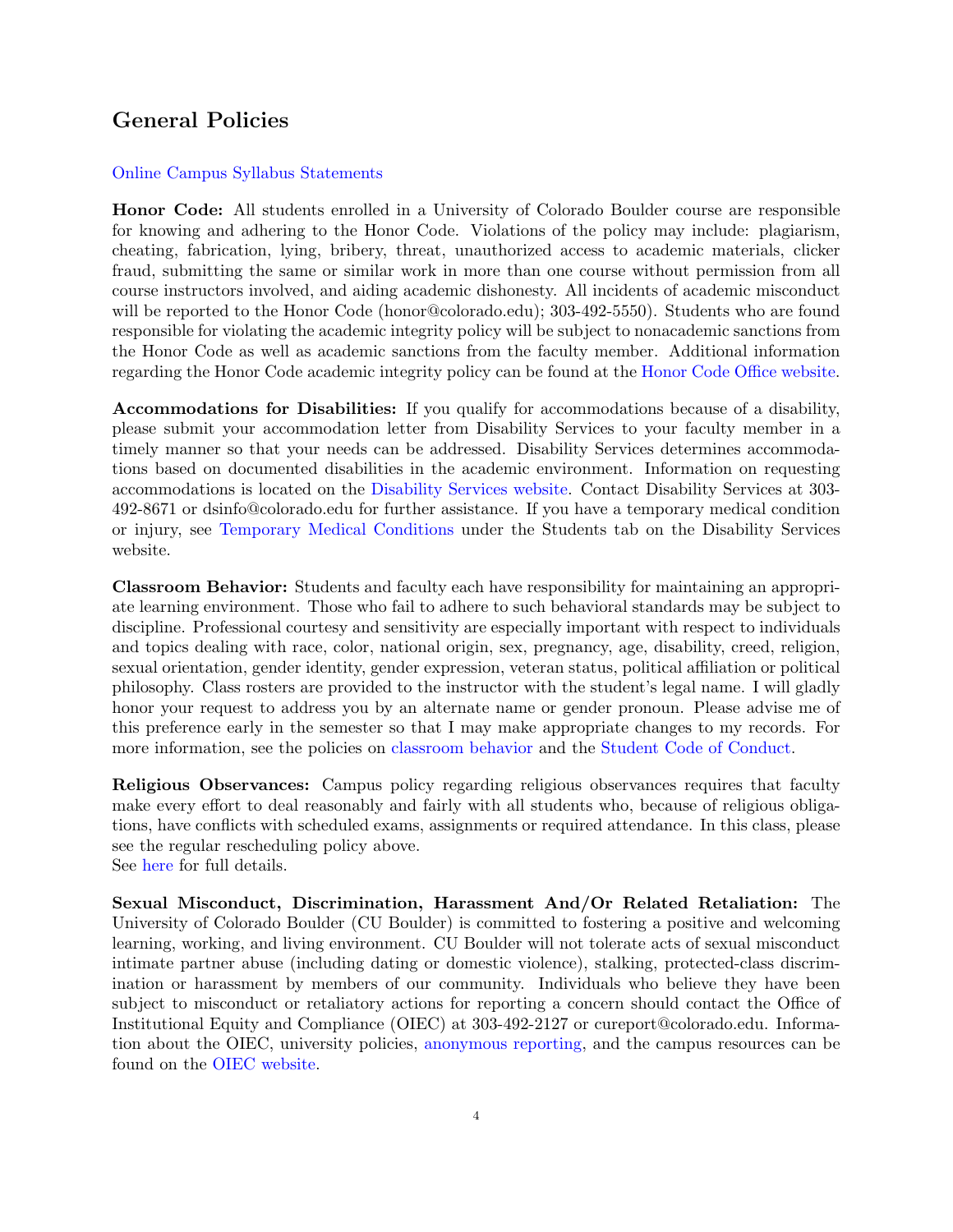# General Policies

### [Online Campus Syllabus Statements](http://click.communications.cu.edu/?qs=a2a36571444cc21d9dbed12efa6b2672996992a6df920342ea9954c72d8902c236e7beeb54eaf18995914d175474410a1708562242e9e761)

Honor Code: All students enrolled in a University of Colorado Boulder course are responsible for knowing and adhering to the Honor Code. Violations of the policy may include: plagiarism, cheating, fabrication, lying, bribery, threat, unauthorized access to academic materials, clicker fraud, submitting the same or similar work in more than one course without permission from all course instructors involved, and aiding academic dishonesty. All incidents of academic misconduct will be reported to the Honor Code (honor@colorado.edu); 303-492-5550). Students who are found responsible for violating the academic integrity policy will be subject to nonacademic sanctions from the Honor Code as well as academic sanctions from the faculty member. Additional information regarding the Honor Code academic integrity policy can be found at the [Honor Code Office website.](https://www.colorado.edu/osccr/honor-code)

Accommodations for Disabilities: If you qualify for accommodations because of a disability, please submit your accommodation letter from Disability Services to your faculty member in a timely manner so that your needs can be addressed. Disability Services determines accommodations based on documented disabilities in the academic environment. Information on requesting accommodations is located on the [Disability Services website.](http://www.colorado.edu/disabilityservices/students) Contact Disability Services at 303- 492-8671 or dsinfo@colorado.edu for further assistance. If you have a temporary medical condition or injury, see [Temporary Medical Conditions](http://www.colorado.edu/disabilityservices/students/temporary-medical-conditions) under the Students tab on the Disability Services website.

Classroom Behavior: Students and faculty each have responsibility for maintaining an appropriate learning environment. Those who fail to adhere to such behavioral standards may be subject to discipline. Professional courtesy and sensitivity are especially important with respect to individuals and topics dealing with race, color, national origin, sex, pregnancy, age, disability, creed, religion, sexual orientation, gender identity, gender expression, veteran status, political affiliation or political philosophy. Class rosters are provided to the instructor with the student's legal name. I will gladly honor your request to address you by an alternate name or gender pronoun. Please advise me of this preference early in the semester so that I may make appropriate changes to my records. For more information, see the policies on [classroom behavior](http://www.colorado.edu/policies/student-classroom-and-course-related-behavior) and the [Student Code of Conduct.](http://www.colorado.edu/osccr/)

Religious Observances: Campus policy regarding religious observances requires that faculty make every effort to deal reasonably and fairly with all students who, because of religious obligations, have conflicts with scheduled exams, assignments or required attendance. In this class, please see the regular rescheduling policy above. See [here](http://www.colorado.edu/policies/observance-religious-holidays-and-absences-classes-andor-exams) for full details.

Sexual Misconduct, Discrimination, Harassment And/Or Related Retaliation: The University of Colorado Boulder (CU Boulder) is committed to fostering a positive and welcoming learning, working, and living environment. CU Boulder will not tolerate acts of sexual misconduct intimate partner abuse (including dating or domestic violence), stalking, protected-class discrimination or harassment by members of our community. Individuals who believe they have been subject to misconduct or retaliatory actions for reporting a concern should contact the Office of Institutional Equity and Compliance (OIEC) at 303-492-2127 or cureport@colorado.edu. Information about the OIEC, university policies, [anonymous reporting,](https://cuboulder.qualtrics.com/jfe/form/SV_0PnqVK4kkIJIZnf) and the campus resources can be found on the [OIEC website.](http://www.colorado.edu/institutionalequity/)